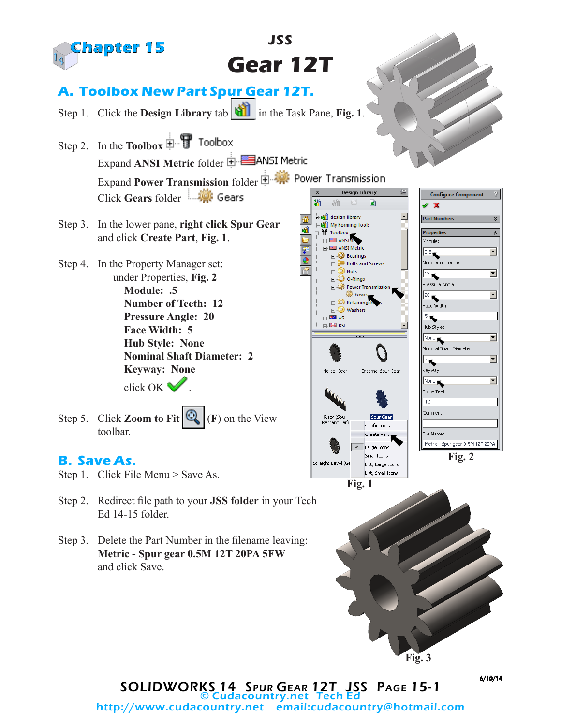

SOLIDWORKS 14 Spur Gear 12T JSS Page 15-1 **Cudacountry.net Tech E** http://www.cudacountry.net email:cudacountry@hotmail.com 6/10/14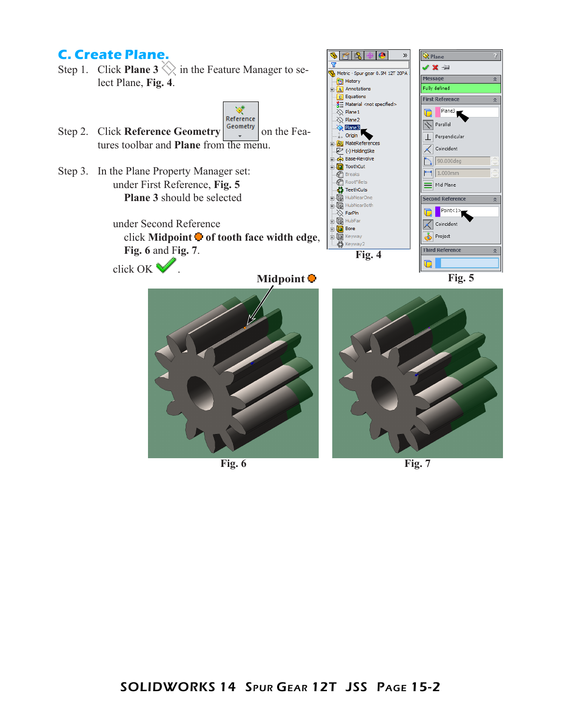## **C. Create Plane.**

Step 1. Click **Plane 3**  $\Diamond$  in the Feature Manager to select Plane, **Fig. 4**.



商隐

**Foll History** 

 $\overline{\mathbf{v}}$ 

 $\bullet$ 

Metric - Spur gear 0.5M 12T 20PA

»

 $\hat{\mathbf{Q}}$  Plane

Message

V X ÷